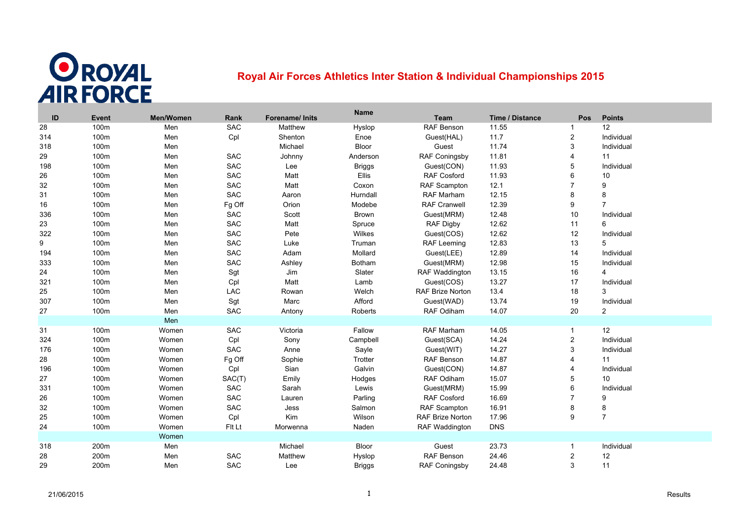

## **Royal Air Forces Athletics Inter Station & Individual Championships 2015**

| ID  | Event | Men/Women | Rank       | Forename/ Inits | <b>Name</b>   | Team                    | Time / Distance | Pos             | <b>Points</b>  |
|-----|-------|-----------|------------|-----------------|---------------|-------------------------|-----------------|-----------------|----------------|
| 28  | 100m  | Men       | SAC        | Matthew         | Hyslop        | RAF Benson              | 11.55           | $\mathbf{1}$    | 12             |
| 314 | 100m  | Men       | Cpl        | Shenton         | Enoe          | Guest(HAL)              | 11.7            | $\sqrt{2}$      | Individual     |
| 318 | 100m  | Men       |            | Michael         | Bloor         | Guest                   | 11.74           | 3               | Individual     |
| 29  | 100m  | Men       | SAC        | Johnny          | Anderson      | RAF Coningsby           | 11.81           | $\overline{4}$  | 11             |
| 198 | 100m  | Men       | SAC        | Lee             | <b>Briggs</b> | Guest(CON)              | 11.93           | 5               | Individual     |
| 26  | 100m  | Men       | SAC        | Matt            | <b>Ellis</b>  | <b>RAF Cosford</b>      | 11.93           | 6               | 10             |
| 32  | 100m  | Men       | SAC        | Matt            | Coxon         | RAF Scampton            | 12.1            | $\overline{7}$  | 9              |
| 31  | 100m  | Men       | SAC        | Aaron           | Hurndall      | RAF Marham              | 12.15           | 8               | $\bf 8$        |
| 16  | 100m  | Men       | Fg Off     | Orion           | Modebe        | <b>RAF Cranwell</b>     | 12.39           | 9               | $\overline{7}$ |
| 336 | 100m  | Men       | SAC        | Scott           | <b>Brown</b>  | Guest(MRM)              | 12.48           | 10              | Individual     |
| 23  | 100m  | Men       | SAC        | Matt            | Spruce        | RAF Digby               | 12.62           | 11              | 6              |
| 322 | 100m  | Men       | SAC        | Pete            | Wilkes        | Guest(COS)              | 12.62           | 12              | Individual     |
| 9   | 100m  | Men       | SAC        | Luke            | Truman        | <b>RAF Leeming</b>      | 12.83           | 13              | 5              |
| 194 | 100m  | Men       | <b>SAC</b> | Adam            | Mollard       | Guest(LEE)              | 12.89           | 14              | Individual     |
| 333 | 100m  | Men       | SAC        | Ashley          | <b>Botham</b> | Guest(MRM)              | 12.98           | 15              | Individual     |
| 24  | 100m  | Men       | Sgt        | Jim             | Slater        | <b>RAF Waddington</b>   | 13.15           | 16              | $\overline{4}$ |
| 321 | 100m  | Men       | Cpl        | Matt            | Lamb          | Guest(COS)              | 13.27           | 17              | Individual     |
| 25  | 100m  | Men       | LAC        | Rowan           | Welch         | <b>RAF Brize Norton</b> | 13.4            | 18              | 3              |
| 307 | 100m  | Men       | Sgt        | Marc            | Afford        | Guest(WAD)              | 13.74           | 19              | Individual     |
| 27  | 100m  | Men       | SAC        | Antony          | Roberts       | RAF Odiham              | 14.07           | 20              | $\overline{c}$ |
|     |       | Men       |            |                 |               |                         |                 |                 |                |
| 31  | 100m  | Women     | SAC        | Victoria        | Fallow        | RAF Marham              | 14.05           | $\mathbf{1}$    | 12             |
| 324 | 100m  | Women     | Cpl        | Sony            | Campbell      | Guest(SCA)              | 14.24           | $\sqrt{2}$      | Individual     |
| 176 | 100m  | Women     | <b>SAC</b> | Anne            | Sayle         | Guest(WIT)              | 14.27           | 3               | Individual     |
| 28  | 100m  | Women     | Fg Off     | Sophie          | Trotter       | RAF Benson              | 14.87           | $\overline{4}$  | 11             |
| 196 | 100m  | Women     | Cpl        | Sian            | Galvin        | Guest(CON)              | 14.87           | $\overline{4}$  | Individual     |
| 27  | 100m  | Women     | SAC(T)     | Emily           | Hodges        | <b>RAF Odiham</b>       | 15.07           | 5               | 10             |
| 331 | 100m  | Women     | <b>SAC</b> | Sarah           | Lewis         | Guest(MRM)              | 15.99           | $6\phantom{1}6$ | Individual     |
| 26  | 100m  | Women     | SAC        | Lauren          | Parling       | <b>RAF Cosford</b>      | 16.69           | $\overline{7}$  | 9              |
| 32  | 100m  | Women     | <b>SAC</b> | Jess            | Salmon        | RAF Scampton            | 16.91           | 8               | 8              |
| 25  | 100m  | Women     | Cpl        | Kim             | Wilson        | <b>RAF Brize Norton</b> | 17.96           | 9               | $\overline{7}$ |
| 24  | 100m  | Women     | Fit Lt     | Morwenna        | Naden         | <b>RAF Waddington</b>   | <b>DNS</b>      |                 |                |
|     |       | Women     |            |                 |               |                         |                 |                 |                |
| 318 | 200m  | Men       |            | Michael         | Bloor         | Guest                   | 23.73           | -1              | Individual     |
| 28  | 200m  | Men       | SAC        | Matthew         | Hyslop        | RAF Benson              | 24.46           | $\overline{c}$  | 12             |
| 29  | 200m  | Men       | <b>SAC</b> | Lee             | <b>Briggs</b> | <b>RAF Coningsby</b>    | 24.48           | 3               | 11             |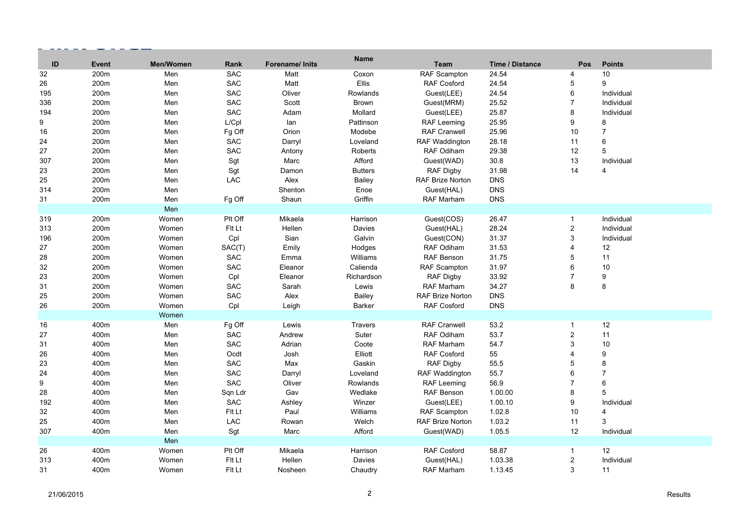|                  |              |           |            |                 | <b>Name</b>    |                         |                        |                         |                |
|------------------|--------------|-----------|------------|-----------------|----------------|-------------------------|------------------------|-------------------------|----------------|
| ID               | <b>Event</b> | Men/Women | Rank       | Forename/ Inits |                | Team                    | <b>Time / Distance</b> | Pos                     | <b>Points</b>  |
| 32               | 200m         | Men       | <b>SAC</b> | Matt            | Coxon<br>Ellis | RAF Scampton            | 24.54                  | 4                       | 10<br>9        |
| 26               | 200m         | Men       | <b>SAC</b> | Matt            |                | <b>RAF Cosford</b>      | 24.54                  | 5                       |                |
| 195              | 200m         | Men       | <b>SAC</b> | Oliver          | Rowlands       | Guest(LEE)              | 24.54                  | 6                       | Individual     |
| 336              | 200m         | Men       | <b>SAC</b> | Scott           | Brown          | Guest(MRM)              | 25.52                  | $\overline{7}$          | Individual     |
| 194              | 200m         | Men       | SAC        | Adam            | Mollard        | Guest(LEE)              | 25.87                  | 8                       | Individual     |
| 9                | 200m         | Men       | L/Cpl      | lan             | Pattinson      | <b>RAF Leeming</b>      | 25.95                  | 9                       | 8              |
| 16               | 200m         | Men       | Fg Off     | Orion           | Modebe         | <b>RAF Cranwell</b>     | 25.96                  | 10                      | $\overline{7}$ |
| 24               | 200m         | Men       | SAC        | Darryl          | Loveland       | <b>RAF Waddington</b>   | 28.18                  | 11                      | 6              |
| 27               | 200m         | Men       | SAC        | Antony          | Roberts        | RAF Odiham              | 29.38                  | 12                      | 5              |
| 307              | 200m         | Men       | Sgt        | Marc            | Afford         | Guest(WAD)              | 30.8                   | 13                      | Individual     |
| 23               | 200m         | Men       | Sgt        | Damon           | <b>Butters</b> | <b>RAF Digby</b>        | 31.98                  | 14                      | 4              |
| 25               | 200m         | Men       | LAC        | Alex            | Bailey         | RAF Brize Norton        | <b>DNS</b>             |                         |                |
| 314              | 200m         | Men       |            | Shenton         | Enoe           | Guest(HAL)              | <b>DNS</b>             |                         |                |
| 31               | 200m         | Men       | Fg Off     | Shaun           | Griffin        | RAF Marham              | <b>DNS</b>             |                         |                |
|                  |              | Men       |            |                 |                |                         |                        |                         |                |
| 319              | 200m         | Women     | Plt Off    | Mikaela         | Harrison       | Guest(COS)              | 26.47                  | $\mathbf{1}$            | Individual     |
| 313              | 200m         | Women     | Fit Lt     | Hellen          | Davies         | Guest(HAL)              | 28.24                  | $\overline{c}$          | Individual     |
| 196              | 200m         | Women     | Cpl        | Sian            | Galvin         | Guest(CON)              | 31.37                  | 3                       | Individual     |
| 27               | 200m         | Women     | SAC(T)     | Emily           | Hodges         | RAF Odiham              | 31.53                  | 4                       | 12             |
| 28               | 200m         | Women     | SAC        | Emma            | Williams       | RAF Benson              | 31.75                  | 5                       | 11             |
| 32               | 200m         | Women     | <b>SAC</b> | Eleanor         | Calienda       | <b>RAF Scampton</b>     | 31.97                  | 6                       | 10             |
| 23               | 200m         | Women     | Cpl        | Eleanor         | Richardson     | RAF Digby               | 33.92                  | $\overline{7}$          | 9              |
| 31               | 200m         | Women     | SAC        | Sarah           | Lewis          | RAF Marham              | 34.27                  | 8                       | 8              |
| 25               | 200m         | Women     | SAC        | Alex            | Bailey         | <b>RAF Brize Norton</b> | <b>DNS</b>             |                         |                |
| 26               | 200m         | Women     | Cpl        | Leigh           | Barker         | <b>RAF Cosford</b>      | <b>DNS</b>             |                         |                |
|                  |              | Women     |            |                 |                |                         |                        |                         |                |
| 16               | 400m         | Men       | Fg Off     | Lewis           | <b>Travers</b> | <b>RAF Cranwell</b>     | 53.2                   | $\mathbf{1}$            | 12             |
| 27               | 400m         | Men       | SAC        | Andrew          | Suter          | RAF Odiham              | 53.7                   | $\overline{c}$          | 11             |
| 31               | 400m         | Men       | <b>SAC</b> | Adrian          | Coote          | RAF Marham              | 54.7                   | 3                       | 10             |
| 26               | 400m         | Men       | Ocdt       | Josh            | Elliott        | <b>RAF Cosford</b>      | 55                     | 4                       | 9              |
| 23               | 400m         | Men       | SAC        | Max             | Gaskin         | <b>RAF Digby</b>        | 55.5                   | 5                       | 8              |
| 24               | 400m         | Men       | SAC        | Darryl          | Loveland       | <b>RAF Waddington</b>   | 55.7                   | 6                       | $\overline{7}$ |
| $\boldsymbol{9}$ | 400m         | Men       | <b>SAC</b> | Oliver          | Rowlands       | <b>RAF Leeming</b>      | 56.9                   | $\overline{7}$          | 6              |
| 28               | 400m         | Men       | Sqn Ldr    | Gav             | Wedlake        | RAF Benson              | 1.00.00                | 8                       | 5              |
| 192              | 400m         | Men       | <b>SAC</b> | Ashley          | Winzer         | Guest(LEE)              | 1.00.10                | 9                       | Individual     |
| 32               | 400m         | Men       | Fit Lt     | Paul            | Williams       | RAF Scampton            | 1.02.8                 | 10                      | 4              |
| 25               | 400m         | Men       | <b>LAC</b> | Rowan           | Welch          | <b>RAF Brize Norton</b> | 1.03.2                 | 11                      | 3              |
| 307              | 400m         | Men       | Sgt        | Marc            | Afford         | Guest(WAD)              | 1.05.5                 | 12                      | Individual     |
|                  |              | Men       |            |                 |                |                         |                        |                         |                |
| 26               | 400m         | Women     | Plt Off    | Mikaela         | Harrison       | <b>RAF Cosford</b>      | 58.87                  | $\mathbf{1}$            | 12             |
| 313              | 400m         | Women     | Fit Lt     | Hellen          | Davies         | Guest(HAL)              | 1.03.38                | $\overline{\mathbf{c}}$ | Individual     |
| 31               | 400m         | Women     | Fit Lt     | Nosheen         | Chaudry        | RAF Marham              | 1.13.45                | 3                       | 11             |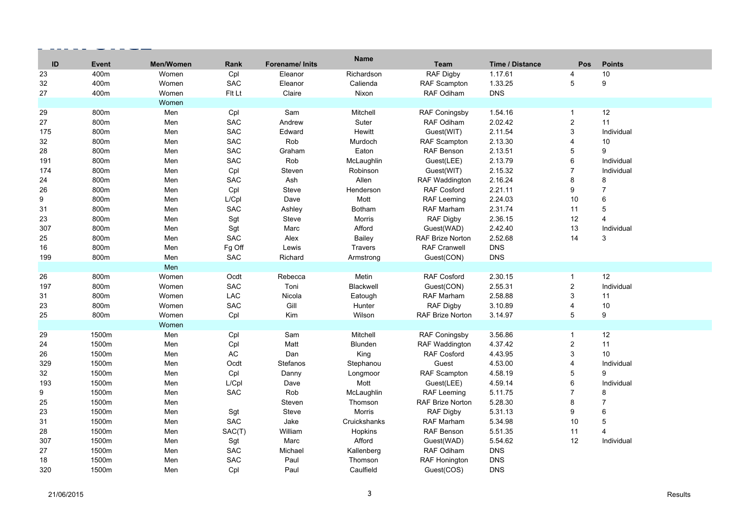| ID  | <b>Event</b> | <b>Men/Women</b> | Rank       | <b>Forename/Inits</b> | <b>Name</b>   | <b>Team</b>             | <b>Time / Distance</b> | <b>Pos</b>               | <b>Points</b>  |
|-----|--------------|------------------|------------|-----------------------|---------------|-------------------------|------------------------|--------------------------|----------------|
| 23  | 400m         | Women            | Cpl        | Eleanor               | Richardson    | RAF Digby               | 1.17.61                | $\overline{\mathcal{A}}$ | 10             |
| 32  | 400m         | Women            | <b>SAC</b> | Eleanor               | Calienda      | RAF Scampton            | 1.33.25                | 5                        | 9              |
| 27  | 400m         | Women            | Fit Lt     | Claire                | Nixon         | RAF Odiham              | <b>DNS</b>             |                          |                |
|     |              | Women            |            |                       |               |                         |                        |                          |                |
| 29  | 800m         | Men              | Cpl        | Sam                   | Mitchell      | <b>RAF Coningsby</b>    | 1.54.16                | $\mathbf{1}$             | 12             |
| 27  | 800m         | Men              | <b>SAC</b> | Andrew                | Suter         | RAF Odiham              | 2.02.42                | $\overline{c}$           | 11             |
| 175 | 800m         | Men              | <b>SAC</b> | Edward                | Hewitt        | Guest(WIT)              | 2.11.54                | 3                        | Individual     |
| 32  | 800m         | Men              | <b>SAC</b> | Rob                   | Murdoch       | RAF Scampton            | 2.13.30                | $\overline{4}$           | 10             |
| 28  | 800m         | Men              | <b>SAC</b> | Graham                | Eaton         | <b>RAF Benson</b>       | 2.13.51                | 5                        | 9              |
| 191 | 800m         | Men              | <b>SAC</b> | Rob                   | McLaughlin    | Guest(LEE)              | 2.13.79                | $6\phantom{1}$           | Individual     |
| 174 | 800m         | Men              | Cpl        | Steven                | Robinson      | Guest(WIT)              | 2.15.32                | $\overline{7}$           | Individual     |
| 24  | 800m         | Men              | <b>SAC</b> | Ash                   | Allen         | RAF Waddington          | 2.16.24                | 8                        | 8              |
| 26  | 800m         | Men              | Cpl        | <b>Steve</b>          | Henderson     | <b>RAF Cosford</b>      | 2.21.11                | $\boldsymbol{9}$         | $\overline{7}$ |
| 9   | 800m         | Men              | L/Cpl      | Dave                  | Mott          | <b>RAF Leeming</b>      | 2.24.03                | 10                       | 6              |
| 31  | 800m         | Men              | <b>SAC</b> | Ashley                | <b>Botham</b> | RAF Marham              | 2.31.74                | 11                       | 5              |
| 23  | 800m         | Men              | Sgt        | Steve                 | Morris        | <b>RAF Digby</b>        | 2.36.15                | 12                       | $\overline{4}$ |
| 307 | 800m         | Men              | Sgt        | Marc                  | Afford        | Guest(WAD)              | 2.42.40                | 13                       | Individual     |
| 25  | 800m         | Men              | <b>SAC</b> | Alex                  | Bailey        | <b>RAF Brize Norton</b> | 2.52.68                | 14                       | 3              |
| 16  | 800m         | Men              | Fg Off     | Lewis                 | Travers       | <b>RAF Cranwell</b>     | <b>DNS</b>             |                          |                |
| 199 | 800m         | Men              | <b>SAC</b> | Richard               | Armstrong     | Guest(CON)              | <b>DNS</b>             |                          |                |
|     |              | Men              |            |                       |               |                         |                        |                          |                |
| 26  | 800m         | Women            | Ocdt       | Rebecca               | Metin         | <b>RAF Cosford</b>      | 2.30.15                | $\mathbf{1}$             | 12             |
| 197 | 800m         | Women            | <b>SAC</b> | Toni                  | Blackwell     | Guest(CON)              | 2.55.31                | $\boldsymbol{2}$         | Individual     |
| 31  | 800m         | Women            | LAC        | Nicola                | Eatough       | RAF Marham              | 2.58.88                | $\mathbf{3}$             | 11             |
| 23  | 800m         | Women            | <b>SAC</b> | Gill                  | Hunter        | <b>RAF Digby</b>        | 3.10.89                | $\overline{4}$           | 10             |
| 25  | 800m         | Women            | Cpl        | Kim                   | Wilson        | <b>RAF Brize Norton</b> | 3.14.97                | 5                        | 9              |
|     |              | Women            |            |                       |               |                         |                        |                          |                |
| 29  | 1500m        | Men              | Cpl        | Sam                   | Mitchell      | RAF Coningsby           | 3.56.86                | $\mathbf{1}$             | 12             |
| 24  | 1500m        | Men              | Cpl        | Matt                  | Blunden       | <b>RAF Waddington</b>   | 4.37.42                | $\overline{2}$           | 11             |
| 26  | 1500m        | Men              | $\sf AC$   | Dan                   | King          | RAF Cosford             | 4.43.95                | 3                        | 10             |
| 329 | 1500m        | Men              | Ocdt       | <b>Stefanos</b>       | Stephanou     | Guest                   | 4.53.00                | $\overline{4}$           | Individual     |
| 32  | 1500m        | Men              | Cpl        | Danny                 | Longmoor      | <b>RAF Scampton</b>     | 4.58.19                | 5                        | 9              |
| 193 | 1500m        | Men              | L/Cpl      | Dave                  | Mott          | Guest(LEE)              | 4.59.14                | $\,6$                    | Individual     |
| 9   | 1500m        | Men              | <b>SAC</b> | Rob                   | McLaughlin    | <b>RAF Leeming</b>      | 5.11.75                | $\overline{7}$           | 8              |
| 25  | 1500m        | Men              |            | Steven                | Thomson       | <b>RAF Brize Norton</b> | 5.28.30                | 8                        | $\overline{7}$ |
| 23  | 1500m        | Men              | Sgt        | Steve                 | Morris        | RAF Digby               | 5.31.13                | 9                        | $\,6$          |
| 31  | 1500m        | Men              | <b>SAC</b> | Jake                  | Cruickshanks  | RAF Marham              | 5.34.98                | 10                       | 5              |
| 28  | 1500m        | Men              | SAC(T)     | William               | Hopkins       | <b>RAF Benson</b>       | 5.51.35                | 11                       | $\overline{4}$ |
| 307 | 1500m        | Men              | Sgt        | Marc                  | Afford        | Guest(WAD)              | 5.54.62                | 12                       | Individual     |
| 27  | 1500m        | Men              | <b>SAC</b> | Michael               | Kallenberg    | <b>RAF Odiham</b>       | <b>DNS</b>             |                          |                |
| 18  | 1500m        | Men              | <b>SAC</b> | Paul                  | Thomson       | RAF Honington           | <b>DNS</b>             |                          |                |
| 320 | 1500m        | Men              | Cpl        | Paul                  | Caulfield     | Guest(COS)              | <b>DNS</b>             |                          |                |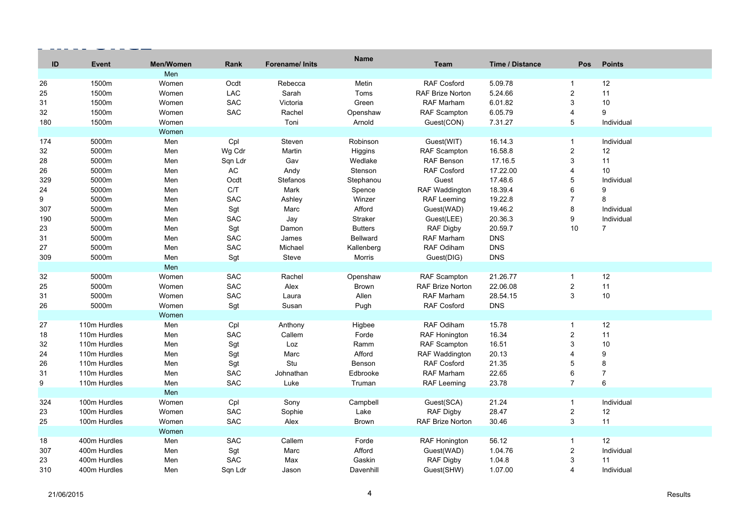| ID  | <b>Event</b> | Men/Women | Rank       | <b>Forename/Inits</b> | <b>Name</b>    | Team                    | <b>Time / Distance</b> | <b>Pos</b>       | <b>Points</b>  |
|-----|--------------|-----------|------------|-----------------------|----------------|-------------------------|------------------------|------------------|----------------|
|     |              | Men       |            |                       |                |                         |                        |                  |                |
| 26  | 1500m        | Women     | Ocdt       | Rebecca               | Metin          | <b>RAF Cosford</b>      | 5.09.78                | $\mathbf 1$      | 12             |
| 25  | 1500m        | Women     | LAC        | Sarah                 | Toms           | RAF Brize Norton        | 5.24.66                | 2                | 11             |
| 31  | 1500m        | Women     | <b>SAC</b> | Victoria              | Green          | <b>RAF Marham</b>       | 6.01.82                | 3                | 10             |
| 32  | 1500m        | Women     | <b>SAC</b> | Rachel                | Openshaw       | <b>RAF Scampton</b>     | 6.05.79                | $\overline{4}$   | 9              |
| 180 | 1500m        | Women     |            | Toni                  | Arnold         | Guest(CON)              | 7.31.27                | $\,$ 5 $\,$      | Individual     |
|     |              | Women     |            |                       |                |                         |                        |                  |                |
| 174 | 5000m        | Men       | Cpl        | Steven                | Robinson       | Guest(WIT)              | 16.14.3                | $\mathbf{1}$     | Individual     |
| 32  | 5000m        | Men       | Wg Cdr     | Martin                | Higgins        | RAF Scampton            | 16.58.8                | $\sqrt{2}$       | 12             |
| 28  | 5000m        | Men       | Sqn Ldr    | Gav                   | Wedlake        | RAF Benson              | 17.16.5                | 3                | 11             |
| 26  | 5000m        | Men       | $\sf AC$   | Andy                  | Stenson        | <b>RAF Cosford</b>      | 17.22.00               | $\overline{4}$   | 10             |
| 329 | 5000m        | Men       | Ocdt       | Stefanos              | Stephanou      | Guest                   | 17.48.6                | 5                | Individual     |
| 24  | 5000m        | Men       | C/T        | Mark                  | Spence         | RAF Waddington          | 18.39.4                | 6                | 9              |
| 9   | 5000m        | Men       | <b>SAC</b> | Ashley                | Winzer         | <b>RAF Leeming</b>      | 19.22.8                | $\overline{7}$   | 8              |
| 307 | 5000m        | Men       | Sgt        | Marc                  | Afford         | Guest(WAD)              | 19.46.2                | 8                | Individual     |
| 190 | 5000m        | Men       | SAC        | Jay                   | Straker        | Guest(LEE)              | 20.36.3                | 9                | Individual     |
| 23  | 5000m        | Men       | Sgt        | Damon                 | <b>Butters</b> | RAF Digby               | 20.59.7                | 10               | $\overline{7}$ |
| 31  | 5000m        | Men       | SAC        | James                 | Bellward       | <b>RAF Marham</b>       | <b>DNS</b>             |                  |                |
| 27  | 5000m        | Men       | <b>SAC</b> | Michael               | Kallenberg     | RAF Odiham              | <b>DNS</b>             |                  |                |
| 309 | 5000m        | Men       | Sgt        | Steve                 | Morris         | Guest(DIG)              | <b>DNS</b>             |                  |                |
|     |              | Men       |            |                       |                |                         |                        |                  |                |
| 32  | 5000m        | Women     | SAC        | Rachel                | Openshaw       | RAF Scampton            | 21.26.77               | $\mathbf{1}$     | 12             |
| 25  | 5000m        | Women     | SAC        | Alex                  | <b>Brown</b>   | <b>RAF Brize Norton</b> | 22.06.08               | $\sqrt{2}$       | 11             |
| 31  | 5000m        | Women     | SAC        | Laura                 | Allen          | RAF Marham              | 28.54.15               | $\mathbf{3}$     | 10             |
| 26  | 5000m        | Women     | Sgt        | Susan                 | Pugh           | RAF Cosford             | <b>DNS</b>             |                  |                |
|     |              | Women     |            |                       |                |                         |                        |                  |                |
| 27  | 110m Hurdles | Men       | Cpl        | Anthony               | Higbee         | RAF Odiham              | 15.78                  | $\mathbf{1}$     | 12             |
| 18  | 110m Hurdles | Men       | <b>SAC</b> | Callem                | Forde          | RAF Honington           | 16.34                  | $\boldsymbol{2}$ | 11             |
| 32  | 110m Hurdles | Men       | Sgt        | Loz                   | Ramm           | RAF Scampton            | 16.51                  | 3                | 10             |
| 24  | 110m Hurdles | Men       | Sgt        | Marc                  | Afford         | RAF Waddington          | 20.13                  | $\Delta$         | 9              |
| 26  | 110m Hurdles | Men       | Sgt        | Stu                   | Benson         | <b>RAF Cosford</b>      | 21.35                  | 5                | $\bf 8$        |
| 31  | 110m Hurdles | Men       | <b>SAC</b> | Johnathan             | Edbrooke       | RAF Marham              | 22.65                  | 6                | $\overline{7}$ |
| 9   | 110m Hurdles | Men       | <b>SAC</b> | Luke                  | Truman         | RAF Leeming             | 23.78                  | $\overline{7}$   | $6\phantom{1}$ |
|     |              | Men       |            |                       |                |                         |                        |                  |                |
| 324 | 100m Hurdles | Women     | Cpl        | Sony                  | Campbell       | Guest(SCA)              | 21.24                  | $\mathbf{1}$     | Individual     |
| 23  | 100m Hurdles | Women     | SAC        | Sophie                | Lake           | RAF Digby               | 28.47                  | $\sqrt{2}$       | 12             |
| 25  | 100m Hurdles | Women     | <b>SAC</b> | Alex                  | <b>Brown</b>   | <b>RAF Brize Norton</b> | 30.46                  | $\mathbf{3}$     | 11             |
|     |              | Women     |            |                       |                |                         |                        |                  |                |
| 18  | 400m Hurdles | Men       | SAC        | Callem                | Forde          | <b>RAF Honington</b>    | 56.12                  | $\mathbf{1}$     | 12             |
| 307 | 400m Hurdles | Men       | Sgt        | Marc                  | Afford         | Guest(WAD)              | 1.04.76                | $\overline{c}$   | Individual     |
| 23  | 400m Hurdles | Men       | SAC        | Max                   | Gaskin         | <b>RAF Digby</b>        | 1.04.8                 | $\sqrt{3}$       | 11             |
| 310 | 400m Hurdles | Men       | Sqn Ldr    | Jason                 | Davenhill      | Guest(SHW)              | 1.07.00                | $\overline{4}$   | Individual     |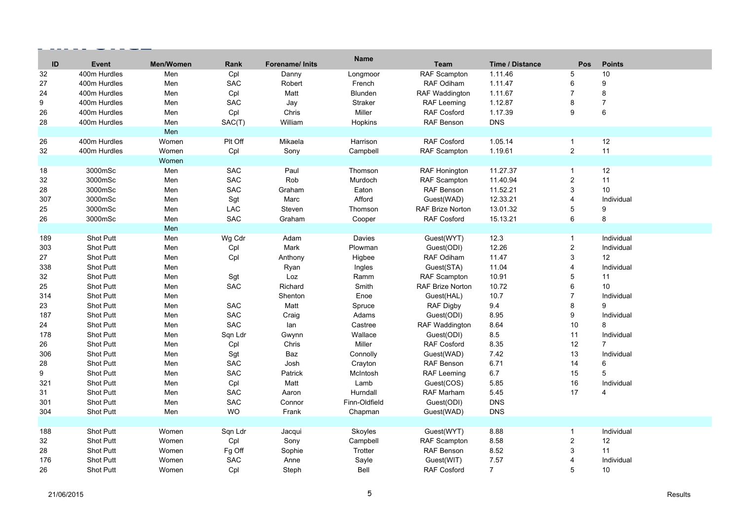| ID  | <b>Event</b>     | Men/Women | Rank       | Forename/ Inits | <b>Name</b>    | <b>Team</b>             | <b>Time / Distance</b> | <b>Pos</b>              | <b>Points</b>  |
|-----|------------------|-----------|------------|-----------------|----------------|-------------------------|------------------------|-------------------------|----------------|
| 32  | 400m Hurdles     | Men       | Cpl        | Danny           | Longmoor       | RAF Scampton            | 1.11.46                | 5                       | 10             |
| 27  | 400m Hurdles     | Men       | <b>SAC</b> | Robert          | French         | RAF Odiham              | 1.11.47                | $\,6\,$                 | 9              |
| 24  | 400m Hurdles     | Men       | Cpl        | Matt            | <b>Blunden</b> | <b>RAF Waddington</b>   | 1.11.67                | $\overline{7}$          | 8              |
| 9   | 400m Hurdles     | Men       | SAC        | Jay             | <b>Straker</b> | <b>RAF Leeming</b>      | 1.12.87                | 8                       | $\overline{7}$ |
| 26  | 400m Hurdles     | Men       | Cpl        | Chris           | Miller         | <b>RAF Cosford</b>      | 1.17.39                | 9                       | 6              |
|     |                  |           |            |                 |                |                         |                        |                         |                |
| 28  | 400m Hurdles     | Men       | SAC(T)     | William         | Hopkins        | RAF Benson              | <b>DNS</b>             |                         |                |
|     |                  | Men       |            |                 |                |                         |                        |                         |                |
| 26  | 400m Hurdles     | Women     | Plt Off    | Mikaela         | Harrison       | <b>RAF Cosford</b>      | 1.05.14                | $\mathbf{1}$            | 12             |
| 32  | 400m Hurdles     | Women     | Cpl        | Sony            | Campbell       | <b>RAF Scampton</b>     | 1.19.61                | $\overline{2}$          | 11             |
|     |                  | Women     |            |                 |                |                         |                        |                         |                |
| 18  | 3000mSc          | Men       | <b>SAC</b> | Paul            | Thomson        | RAF Honington           | 11.27.37               | $\mathbf{1}$            | 12             |
| 32  | 3000mSc          | Men       | SAC        | Rob             | Murdoch        | <b>RAF Scampton</b>     | 11.40.94               | $\sqrt{2}$              | 11             |
| 28  | 3000mSc          | Men       | SAC        | Graham          | Eaton          | RAF Benson              | 11.52.21               | 3                       | 10             |
| 307 | 3000mSc          | Men       | Sgt        | Marc            | Afford         | Guest(WAD)              | 12.33.21               | $\overline{4}$          | Individual     |
| 25  | 3000mSc          | Men       | LAC        | Steven          | Thomson        | <b>RAF Brize Norton</b> | 13.01.32               | 5                       | 9              |
| 26  | 3000mSc          | Men       | <b>SAC</b> | Graham          | Cooper         | <b>RAF Cosford</b>      | 15.13.21               | 6                       | 8              |
|     |                  | Men       |            |                 |                |                         |                        |                         |                |
| 189 | <b>Shot Putt</b> | Men       | Wg Cdr     | Adam            | Davies         | Guest(WYT)              | 12.3                   | $\mathbf{1}$            | Individual     |
| 303 | Shot Putt        | Men       | Cpl        | Mark            | Plowman        | Guest(ODI)              | 12.26                  | $\mathbf{2}$            | Individual     |
| 27  | Shot Putt        | Men       | Cpl        | Anthony         | Higbee         | RAF Odiham              | 11.47                  | $\mathsf 3$             | 12             |
| 338 | <b>Shot Putt</b> | Men       |            | Ryan            | Ingles         | Guest(STA)              | 11.04                  | 4                       | Individual     |
| 32  | Shot Putt        | Men       | Sgt        | Loz             | Ramm           | <b>RAF Scampton</b>     | 10.91                  | 5                       | 11             |
| 25  | Shot Putt        | Men       | <b>SAC</b> | Richard         | Smith          | <b>RAF Brize Norton</b> | 10.72                  | 6                       | 10             |
| 314 | <b>Shot Putt</b> | Men       |            | Shenton         | Enoe           | Guest(HAL)              | 10.7                   | $\overline{7}$          | Individual     |
| 23  | <b>Shot Putt</b> | Men       | <b>SAC</b> | Matt            | Spruce         | <b>RAF Digby</b>        | 9.4                    | 8                       | 9              |
| 187 | Shot Putt        | Men       | SAC        | Craig           | Adams          | Guest(ODI)              | 8.95                   | $\boldsymbol{9}$        | Individual     |
| 24  | Shot Putt        | Men       | <b>SAC</b> | lan             | Castree        | <b>RAF Waddington</b>   | 8.64                   | 10                      | 8              |
| 178 | Shot Putt        | Men       | Sqn Ldr    | Gwynn           | Wallace        | Guest(ODI)              | 8.5                    | 11                      | Individual     |
| 26  | Shot Putt        | Men       | Cpl        | Chris           | Miller         | <b>RAF Cosford</b>      | 8.35                   | 12                      | $\overline{7}$ |
| 306 | <b>Shot Putt</b> | Men       | Sgt        | Baz             | Connolly       | Guest(WAD)              | 7.42                   | 13                      | Individual     |
| 28  | Shot Putt        | Men       | SAC        | Josh            | Crayton        | <b>RAF Benson</b>       | 6.71                   | 14                      | 6              |
| 9   | <b>Shot Putt</b> | Men       | <b>SAC</b> | Patrick         | McIntosh       | <b>RAF Leeming</b>      | 6.7                    | 15                      | 5              |
| 321 | Shot Putt        | Men       | Cpl        | Matt            | Lamb           | Guest(COS)              | 5.85                   | 16                      | Individual     |
| 31  | <b>Shot Putt</b> | Men       | SAC        | Aaron           | Hurndall       | RAF Marham              | 5.45                   | 17                      | 4              |
| 301 | <b>Shot Putt</b> | Men       | SAC        | Connor          | Finn-Oldfield  | Guest(ODI)              | <b>DNS</b>             |                         |                |
| 304 | Shot Putt        | Men       | <b>WO</b>  | Frank           | Chapman        | Guest(WAD)              | <b>DNS</b>             |                         |                |
|     |                  |           |            |                 |                |                         |                        |                         |                |
| 188 | <b>Shot Putt</b> | Women     | Sqn Ldr    | Jacqui          | Skoyles        | Guest(WYT)              | 8.88                   | $\mathbf{1}$            | Individual     |
| 32  | Shot Putt        | Women     | Cpl        | Sony            | Campbell       | <b>RAF Scampton</b>     | 8.58                   | $\overline{\mathbf{c}}$ | 12             |
|     |                  |           |            |                 |                |                         |                        | 3                       | 11             |
| 28  | Shot Putt        | Women     | Fg Off     | Sophie          | Trotter        | <b>RAF Benson</b>       | 8.52                   |                         |                |
| 176 | Shot Putt        | Women     | <b>SAC</b> | Anne            | Sayle          | Guest(WIT)              | 7.57                   | 4                       | Individual     |
| 26  | Shot Putt        | Women     | Cpl        | Steph           | Bell           | RAF Cosford             | $\overline{7}$         | 5                       | 10             |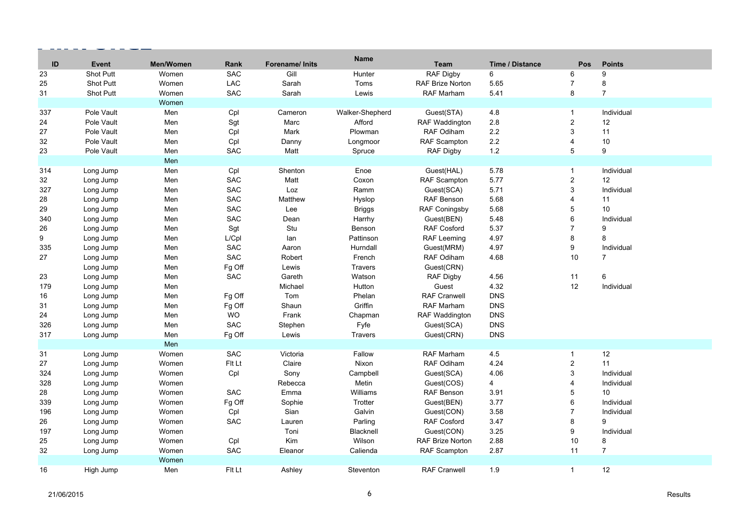| ID  | <b>Event</b>     | Men/Women | Rank       | Forename/ Inits | <b>Name</b>     | <b>Team</b>             | <b>Time / Distance</b> | <b>Pos</b>              | <b>Points</b>   |
|-----|------------------|-----------|------------|-----------------|-----------------|-------------------------|------------------------|-------------------------|-----------------|
| 23  | <b>Shot Putt</b> | Women     | <b>SAC</b> | Gill            | Hunter          | <b>RAF Digby</b>        | 6                      | 6                       | 9               |
| 25  | Shot Putt        | Women     | LAC        | Sarah           | Toms            | <b>RAF Brize Norton</b> | 5.65                   | $\overline{7}$          | 8               |
| 31  | Shot Putt        | Women     | <b>SAC</b> | Sarah           | Lewis           | RAF Marham              | 5.41                   | 8                       | $\overline{7}$  |
|     |                  | Women     |            |                 |                 |                         |                        |                         |                 |
| 337 | Pole Vault       | Men       | Cpl        | Cameron         | Walker-Shepherd | Guest(STA)              | 4.8                    | $\mathbf{1}$            | Individual      |
| 24  | Pole Vault       | Men       | Sgt        | Marc            | Afford          | <b>RAF Waddington</b>   | 2.8                    | $\overline{c}$          | 12              |
| 27  | Pole Vault       | Men       | Cpl        | Mark            | Plowman         | RAF Odiham              | 2.2                    | 3                       | 11              |
| 32  | Pole Vault       | Men       | Cpl        | Danny           | Longmoor        | <b>RAF Scampton</b>     | 2.2                    | 4                       | $10$            |
| 23  | Pole Vault       | Men       | SAC        | Matt            | Spruce          | <b>RAF Digby</b>        | 1.2                    | 5                       | 9               |
|     |                  | Men       |            |                 |                 |                         |                        |                         |                 |
| 314 | Long Jump        | Men       | Cpl        | Shenton         | Enoe            | Guest(HAL)              | 5.78                   | $\mathbf{1}$            | Individual      |
| 32  | Long Jump        | Men       | <b>SAC</b> | Matt            | Coxon           | <b>RAF Scampton</b>     | 5.77                   | $\overline{\mathbf{c}}$ | 12              |
| 327 | Long Jump        | Men       | <b>SAC</b> | Loz             | Ramm            | Guest(SCA)              | 5.71                   | 3                       | Individual      |
| 28  | Long Jump        | Men       | SAC        | Matthew         | Hyslop          | RAF Benson              | 5.68                   | 4                       | 11              |
| 29  | Long Jump        | Men       | <b>SAC</b> | Lee             | <b>Briggs</b>   | <b>RAF Coningsby</b>    | 5.68                   | 5                       | 10 <sup>1</sup> |
| 340 | Long Jump        | Men       | SAC        | Dean            | Harrhy          | Guest(BEN)              | 5.48                   | 6                       | Individual      |
| 26  | Long Jump        | Men       | Sgt        | Stu             | Benson          | <b>RAF Cosford</b>      | 5.37                   | $\overline{7}$          | 9               |
| 9   | Long Jump        | Men       | L/Cpl      | lan             | Pattinson       | RAF Leeming             | 4.97                   | 8                       | 8               |
| 335 | Long Jump        | Men       | <b>SAC</b> | Aaron           | Hurndall        | Guest(MRM)              | 4.97                   | 9                       | Individual      |
| 27  | Long Jump        | Men       | <b>SAC</b> | Robert          | French          | <b>RAF Odiham</b>       | 4.68                   | 10                      | $\overline{7}$  |
|     | Long Jump        | Men       | Fg Off     | Lewis           | Travers         | Guest(CRN)              |                        |                         |                 |
| 23  | Long Jump        | Men       | <b>SAC</b> | Gareth          | Watson          | <b>RAF Digby</b>        | 4.56                   | 11                      | 6               |
| 179 | Long Jump        | Men       |            | Michael         | Hutton          | Guest                   | 4.32                   | 12                      | Individual      |
| 16  | Long Jump        | Men       | Fg Off     | Tom             | Phelan          | <b>RAF Cranwell</b>     | <b>DNS</b>             |                         |                 |
| 31  | Long Jump        | Men       | Fg Off     | Shaun           | Griffin         | RAF Marham              | <b>DNS</b>             |                         |                 |
| 24  | Long Jump        | Men       | <b>WO</b>  | Frank           | Chapman         | RAF Waddington          | <b>DNS</b>             |                         |                 |
| 326 | Long Jump        | Men       | <b>SAC</b> | Stephen         | Fyfe            | Guest(SCA)              | <b>DNS</b>             |                         |                 |
| 317 | Long Jump        | Men       | Fg Off     | Lewis           | Travers         | Guest(CRN)              | <b>DNS</b>             |                         |                 |
|     |                  | Men       |            |                 |                 |                         |                        |                         |                 |
| 31  | Long Jump        | Women     | <b>SAC</b> | Victoria        | Fallow          | <b>RAF Marham</b>       | 4.5                    | $\mathbf{1}$            | 12              |
| 27  | Long Jump        | Women     | Fit Lt     | Claire          | Nixon           | RAF Odiham              | 4.24                   | $\overline{c}$          | 11              |
| 324 | Long Jump        | Women     | Cpl        | Sony            | Campbell        | Guest(SCA)              | 4.06                   | 3                       | Individual      |
| 328 | Long Jump        | Women     |            | Rebecca         | Metin           | Guest(COS)              | 4                      | 4                       | Individual      |
| 28  | Long Jump        | Women     | <b>SAC</b> | Emma            | Williams        | <b>RAF Benson</b>       | 3.91                   | 5                       | 10              |
| 339 | Long Jump        | Women     | Fg Off     | Sophie          | Trotter         | Guest(BEN)              | 3.77                   | 6                       | Individual      |
| 196 | Long Jump        | Women     | Cpl        | Sian            | Galvin          | Guest(CON)              | 3.58                   | $\overline{7}$          | Individual      |
| 26  | Long Jump        | Women     | <b>SAC</b> | Lauren          | Parling         | <b>RAF Cosford</b>      | 3.47                   | 8                       | 9               |
| 197 | Long Jump        | Women     |            | Toni            | Blacknell       | Guest(CON)              | 3.25                   | 9                       | Individual      |
| 25  | Long Jump        | Women     | Cpl        | <b>Kim</b>      | Wilson          | <b>RAF Brize Norton</b> | 2.88                   | 10                      | 8               |
| 32  | Long Jump        | Women     | <b>SAC</b> | Eleanor         | Calienda        | RAF Scampton            | 2.87                   | 11                      | $\overline{7}$  |
|     |                  | Women     |            |                 |                 |                         |                        |                         |                 |
| 16  | High Jump        | Men       | Fit Lt     | Ashley          | Steventon       | <b>RAF Cranwell</b>     | 1.9                    | $\mathbf{1}$            | 12              |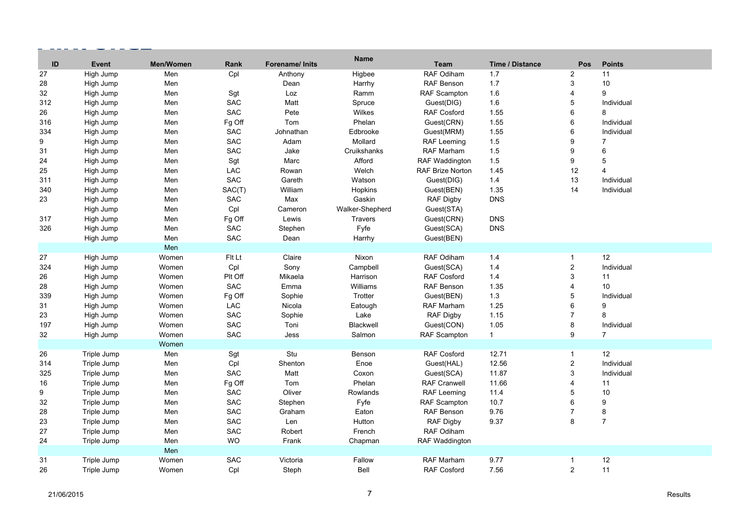| ID     | Event       | Men/Women | Rank       | Forename/ Inits | <b>Name</b>     | <b>Team</b>           | <b>Time / Distance</b> | Pos            | <b>Points</b>   |
|--------|-------------|-----------|------------|-----------------|-----------------|-----------------------|------------------------|----------------|-----------------|
| 27     | High Jump   | Men       | Cpl        | Anthony         | Higbee          | RAF Odiham            | 1.7                    | $\overline{2}$ | 11              |
| 28     | High Jump   | Men       |            | Dean            | Harrhy          | RAF Benson            | 1.7                    | 3              | 10              |
| 32     | High Jump   | Men       | Sgt        | Loz             | Ramm            | <b>RAF Scampton</b>   | 1.6                    | 4              | 9               |
| 312    | High Jump   | Men       | SAC        | Matt            | Spruce          | Guest(DIG)            | 1.6                    | 5              | Individual      |
| 26     | High Jump   | Men       | <b>SAC</b> | Pete            | Wilkes          | <b>RAF Cosford</b>    | 1.55                   | 6              | 8               |
| 316    | High Jump   | Men       | Fg Off     | Tom             | Phelan          | Guest(CRN)            | 1.55                   | 6              | Individual      |
| 334    | High Jump   | Men       | <b>SAC</b> | Johnathan       | Edbrooke        | Guest(MRM)            | 1.55                   | 6              | Individual      |
| 9      | High Jump   | Men       | SAC        | Adam            | Mollard         | <b>RAF Leeming</b>    | 1.5                    | 9              | $\overline{7}$  |
| 31     | High Jump   | Men       | <b>SAC</b> | Jake            | Cruikshanks     | <b>RAF Marham</b>     | 1.5                    | 9              | 6               |
| 24     | High Jump   | Men       | Sgt        | Marc            | Afford          | <b>RAF Waddington</b> | 1.5                    | 9              | 5               |
| 25     | High Jump   | Men       | LAC        | Rowan           | Welch           | RAF Brize Norton      | 1.45                   | 12             | $\overline{4}$  |
| 311    | High Jump   | Men       | SAC        | Gareth          | Watson          | Guest(DIG)            | 1.4                    | 13             | Individual      |
| 340    | High Jump   | Men       | SAC(T)     | William         | Hopkins         | Guest(BEN)            | 1.35                   | 14             | Individual      |
| 23     | High Jump   | Men       | SAC        | Max             | Gaskin          | RAF Digby             | <b>DNS</b>             |                |                 |
|        | High Jump   | Men       | Cpl        | Cameron         | Walker-Shepherd | Guest(STA)            |                        |                |                 |
| 317    | High Jump   | Men       | Fg Off     | Lewis           | <b>Travers</b>  | Guest(CRN)            | <b>DNS</b>             |                |                 |
| 326    | High Jump   | Men       | <b>SAC</b> | Stephen         | Fyfe            | Guest(SCA)            | <b>DNS</b>             |                |                 |
|        | High Jump   | Men       | SAC        | Dean            | Harrhy          | Guest(BEN)            |                        |                |                 |
|        |             | Men       |            |                 |                 |                       |                        |                |                 |
| $27\,$ | High Jump   | Women     | Fit Lt     | Claire          | Nixon           | RAF Odiham            | 1.4                    | $\mathbf{1}$   | 12              |
| 324    | High Jump   | Women     | Cpl        | Sony            | Campbell        | Guest(SCA)            | 1.4                    | $\overline{c}$ | Individual      |
| 26     | High Jump   | Women     | Plt Off    | Mikaela         | Harrison        | <b>RAF Cosford</b>    | 1.4                    | 3              | 11              |
| 28     | High Jump   | Women     | <b>SAC</b> | Emma            | Williams        | <b>RAF Benson</b>     | 1.35                   | $\overline{4}$ | 10 <sup>1</sup> |
| 339    | High Jump   | Women     | Fg Off     | Sophie          | Trotter         | Guest(BEN)            | 1.3                    | 5              | Individual      |
| 31     | High Jump   | Women     | LAC        | Nicola          | Eatough         | RAF Marham            | 1.25                   | 6              | 9               |
| 23     | High Jump   | Women     | SAC        | Sophie          | Lake            | <b>RAF Digby</b>      | 1.15                   | $\overline{7}$ | 8               |
| 197    | High Jump   | Women     | SAC        | Toni            | Blackwell       | Guest(CON)            | 1.05                   | 8              | Individual      |
| 32     | High Jump   | Women     | SAC        | Jess            | Salmon          | <b>RAF Scampton</b>   | $\mathbf{1}$           | 9              | $\overline{7}$  |
|        |             | Women     |            |                 |                 |                       |                        |                |                 |
| 26     | Triple Jump | Men       | Sgt        | Stu             | Benson          | RAF Cosford           | 12.71                  | $\mathbf{1}$   | 12 <sup>2</sup> |
| 314    | Triple Jump | Men       | Cpl        | Shenton         | Enoe            | Guest(HAL)            | 12.56                  | $\overline{c}$ | Individual      |
| 325    | Triple Jump | Men       | <b>SAC</b> | Matt            | Coxon           | Guest(SCA)            | 11.87                  | 3              | Individual      |
| 16     | Triple Jump | Men       | Fg Off     | Tom             | Phelan          | <b>RAF Cranwell</b>   | 11.66                  | $\overline{4}$ | 11              |
| 9      | Triple Jump | Men       | SAC        | Oliver          | Rowlands        | <b>RAF Leeming</b>    | 11.4                   | 5              | 10              |
| 32     | Triple Jump | Men       | SAC        | Stephen         | Fyfe            | RAF Scampton          | 10.7                   | 6              | 9               |
| 28     | Triple Jump | Men       | SAC        | Graham          | Eaton           | RAF Benson            | 9.76                   | $\overline{7}$ | 8               |
| 23     | Triple Jump | Men       | SAC        | Len             | Hutton          | RAF Digby             | 9.37                   | 8              | $\overline{7}$  |
| 27     | Triple Jump | Men       | SAC        | Robert          | French          | RAF Odiham            |                        |                |                 |
| 24     | Triple Jump | Men       | <b>WO</b>  | Frank           | Chapman         | <b>RAF Waddington</b> |                        |                |                 |
|        |             | Men       |            |                 |                 |                       |                        |                |                 |
| 31     | Triple Jump | Women     | SAC        | Victoria        | Fallow          | RAF Marham            | 9.77                   | $\mathbf{1}$   | 12              |
| 26     | Triple Jump | Women     | Cpl        | Steph           | Bell            | <b>RAF Cosford</b>    | 7.56                   | $\overline{c}$ | 11              |

 $-$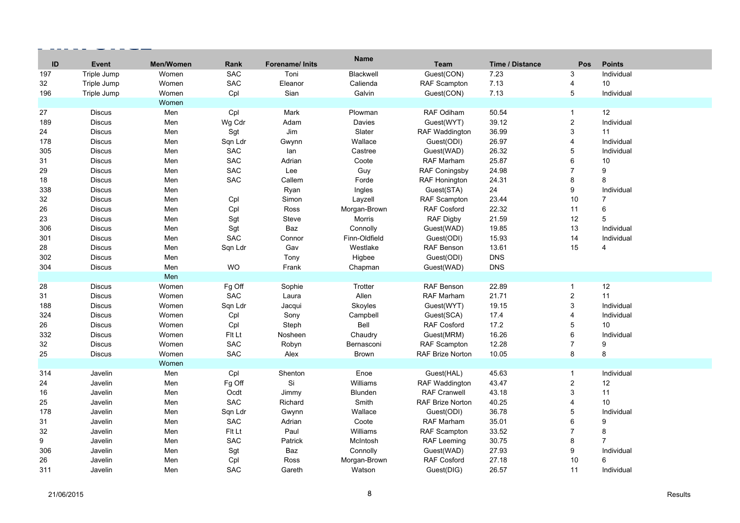| ID               | Event         | Men/Women | Rank       | Forename/ Inits | <b>Name</b>   | <b>Team</b>             | <b>Time / Distance</b> | <b>Pos</b>     | <b>Points</b>  |
|------------------|---------------|-----------|------------|-----------------|---------------|-------------------------|------------------------|----------------|----------------|
| 197              | Triple Jump   | Women     | <b>SAC</b> | Toni            | Blackwell     | Guest(CON)              | 7.23                   | 3              | Individual     |
| 32               | Triple Jump   | Women     | <b>SAC</b> | Eleanor         | Calienda      | <b>RAF Scampton</b>     | 7.13                   | $\overline{4}$ | 10             |
| 196              | Triple Jump   | Women     | Cpl        | Sian            | Galvin        | Guest(CON)              | 7.13                   | $\sqrt{5}$     | Individual     |
|                  |               | Women     |            |                 |               |                         |                        |                |                |
| 27               | <b>Discus</b> | Men       | Cpl        | Mark            | Plowman       | <b>RAF Odiham</b>       | 50.54                  | $\mathbf{1}$   | 12             |
| 189              | <b>Discus</b> | Men       | Wg Cdr     | Adam            | Davies        | Guest(WYT)              | 39.12                  | $\overline{c}$ | Individual     |
| 24               | <b>Discus</b> | Men       | Sgt        | Jim             | Slater        | RAF Waddington          | 36.99                  | 3              | 11             |
| 178              | <b>Discus</b> | Men       | Sqn Ldr    | Gwynn           | Wallace       | Guest(ODI)              | 26.97                  | $\overline{4}$ | Individual     |
| 305              | <b>Discus</b> | Men       | <b>SAC</b> | lan             | Castree       | Guest(WAD)              | 26.32                  | 5              | Individual     |
| 31               | <b>Discus</b> | Men       | <b>SAC</b> | Adrian          | Coote         | RAF Marham              | 25.87                  | 6              | 10             |
| 29               | <b>Discus</b> | Men       | <b>SAC</b> | Lee             | Guy           | <b>RAF Coningsby</b>    | 24.98                  | $\overline{7}$ | 9              |
| 18               | <b>Discus</b> | Men       | <b>SAC</b> | Callem          | Forde         | RAF Honington           | 24.31                  | 8              | 8              |
| 338              | <b>Discus</b> | Men       |            | Ryan            | Ingles        | Guest(STA)              | 24                     | 9              | Individual     |
| 32               | <b>Discus</b> | Men       | Cpl        | Simon           | Layzell       | <b>RAF Scampton</b>     | 23.44                  | 10             | $\overline{7}$ |
| 26               | <b>Discus</b> | Men       | Cpl        | Ross            | Morgan-Brown  | RAF Cosford             | 22.32                  | 11             | 6              |
| 23               | <b>Discus</b> | Men       | Sgt        | Steve           | <b>Morris</b> | <b>RAF Digby</b>        | 21.59                  | 12             | 5              |
| 306              | <b>Discus</b> | Men       | Sgt        | Baz             | Connolly      | Guest(WAD)              | 19.85                  | 13             | Individual     |
| 301              | <b>Discus</b> | Men       | <b>SAC</b> | Connor          | Finn-Oldfield | Guest(ODI)              | 15.93                  | 14             | Individual     |
| 28               | <b>Discus</b> | Men       | Sqn Ldr    | Gav             | Westlake      | <b>RAF Benson</b>       | 13.61                  | 15             | $\overline{4}$ |
| 302              | <b>Discus</b> | Men       |            | Tony            | Higbee        | Guest(ODI)              | <b>DNS</b>             |                |                |
| 304              | <b>Discus</b> | Men       | <b>WO</b>  | Frank           | Chapman       | Guest(WAD)              | <b>DNS</b>             |                |                |
|                  |               | Men       |            |                 |               |                         |                        |                |                |
| 28               | <b>Discus</b> | Women     | Fg Off     | Sophie          | Trotter       | RAF Benson              | 22.89                  | $\mathbf{1}$   | 12             |
| 31               | <b>Discus</b> | Women     | <b>SAC</b> | Laura           | Allen         | <b>RAF Marham</b>       | 21.71                  | $\overline{c}$ | 11             |
| 188              | <b>Discus</b> | Women     | Sqn Ldr    | Jacqui          | Skoyles       | Guest(WYT)              | 19.15                  | 3              | Individual     |
| 324              | <b>Discus</b> | Women     | Cpl        | Sony            | Campbell      | Guest(SCA)              | 17.4                   | $\overline{4}$ | Individual     |
| 26               | <b>Discus</b> | Women     | Cpl        | Steph           | Bell          | <b>RAF Cosford</b>      | 17.2                   | 5              | 10             |
| 332              | <b>Discus</b> | Women     | Fit Lt     | Nosheen         | Chaudry       | Guest(MRM)              | 16.26                  | $\,6\,$        | Individual     |
| $32\,$           | <b>Discus</b> | Women     | <b>SAC</b> | Robyn           | Bernasconi    | <b>RAF Scampton</b>     | 12.28                  | $\overline{7}$ | 9              |
| 25               | <b>Discus</b> | Women     | <b>SAC</b> | Alex            | <b>Brown</b>  | RAF Brize Norton        | 10.05                  | 8              | 8              |
|                  |               | Women     |            |                 |               |                         |                        |                |                |
| 314              | Javelin       | Men       | Cpl        | Shenton         | Enoe          | Guest(HAL)              | 45.63                  | $\mathbf{1}$   | Individual     |
| 24               | Javelin       | Men       | Fg Off     | Si              | Williams      | RAF Waddington          | 43.47                  | $\sqrt{2}$     | 12             |
| 16               | Javelin       | Men       | Ocdt       | Jimmy           | Blunden       | <b>RAF Cranwell</b>     | 43.18                  | $\mathbf{3}$   | 11             |
| 25               | Javelin       | Men       | <b>SAC</b> | Richard         | Smith         | <b>RAF Brize Norton</b> | 40.25                  | $\overline{4}$ | 10             |
| 178              | Javelin       | Men       | Sqn Ldr    | Gwynn           | Wallace       | Guest(ODI)              | 36.78                  | 5              | Individual     |
| 31               | Javelin       | Men       | <b>SAC</b> | Adrian          | Coote         | RAF Marham              | 35.01                  | $6\phantom{1}$ | 9              |
| 32               | Javelin       | Men       | Fit Lt     | Paul            | Williams      | <b>RAF Scampton</b>     | 33.52                  | $\overline{7}$ | 8              |
| $\boldsymbol{9}$ | Javelin       | Men       | <b>SAC</b> | Patrick         | McIntosh      | <b>RAF Leeming</b>      | 30.75                  | 8              | $\overline{7}$ |
| 306              | Javelin       | Men       | Sgt        | <b>Baz</b>      | Connolly      | Guest(WAD)              | 27.93                  | 9              | Individual     |
| 26               | Javelin       | Men       | Cpl        | Ross            | Morgan-Brown  | <b>RAF Cosford</b>      | 27.18                  | 10             | 6              |
| 311              | Javelin       | Men       | <b>SAC</b> | Gareth          | Watson        | Guest(DIG)              | 26.57                  | 11             | Individual     |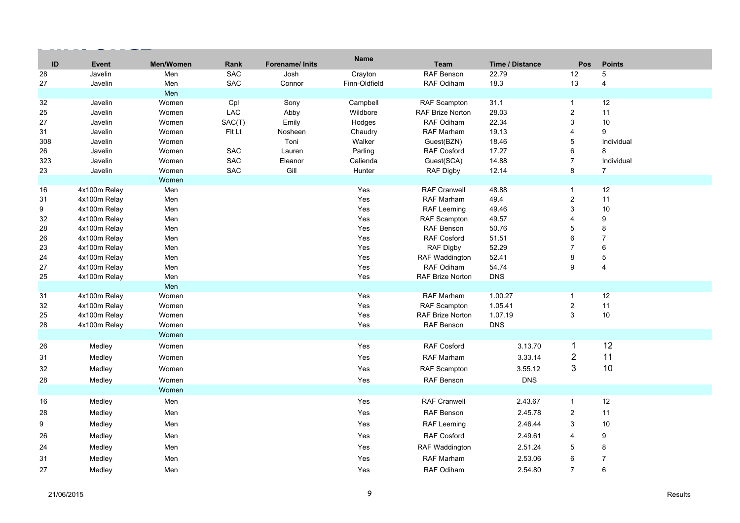| ID     | <b>Event</b> | Men/Women | Rank       | Forename/ Inits | <b>Name</b>   | <b>Team</b>             | <b>Time / Distance</b> | Pos                     | <b>Points</b>  |
|--------|--------------|-----------|------------|-----------------|---------------|-------------------------|------------------------|-------------------------|----------------|
| 28     | Javelin      | Men       | <b>SAC</b> | Josh            | Crayton       | RAF Benson              | 22.79                  | 12                      | 5              |
| 27     | Javelin      | Men       | <b>SAC</b> | Connor          | Finn-Oldfield | RAF Odiham              | 18.3                   | 13                      | $\overline{4}$ |
|        |              | Men       |            |                 |               |                         |                        |                         |                |
| 32     | Javelin      | Women     | Cpl        | Sony            | Campbell      | RAF Scampton            | 31.1                   | $\mathbf{1}$            | 12             |
| 25     | Javelin      | Women     | <b>LAC</b> | Abby            | Wildbore      | <b>RAF Brize Norton</b> | 28.03                  | $\overline{2}$          | 11             |
| 27     | Javelin      | Women     | SAC(T)     | Emily           | Hodges        | RAF Odiham              | 22.34                  | 3                       | $10$           |
| 31     | Javelin      | Women     | Fit Lt     | Nosheen         | Chaudry       | RAF Marham              | 19.13                  | 4                       | 9              |
| 308    | Javelin      | Women     |            | Toni            | Walker        | Guest(BZN)              | 18.46                  | 5                       | Individual     |
| 26     | Javelin      | Women     | SAC        | Lauren          | Parling       | <b>RAF Cosford</b>      | 17.27                  | 6                       | 8              |
| 323    | Javelin      | Women     | SAC        | Eleanor         | Calienda      | Guest(SCA)              | 14.88                  | $\overline{7}$          | Individual     |
| 23     | Javelin      | Women     | SAC        | Gill            | Hunter        | RAF Digby               | 12.14                  | 8                       | $\overline{7}$ |
|        |              | Women     |            |                 |               |                         |                        |                         |                |
| 16     | 4x100m Relay | Men       |            |                 | Yes           | <b>RAF Cranwell</b>     | 48.88                  | $\mathbf{1}$            | 12             |
| 31     | 4x100m Relay | Men       |            |                 | Yes           | RAF Marham              | 49.4                   | $\overline{2}$          | 11             |
| 9      | 4x100m Relay | Men       |            |                 | Yes           | RAF Leeming             | 49.46                  | 3                       | 10             |
| 32     | 4x100m Relay | Men       |            |                 | Yes           | RAF Scampton            | 49.57                  | $\overline{\mathbf{4}}$ | 9              |
| 28     | 4x100m Relay | Men       |            |                 | Yes           | RAF Benson              | 50.76                  | 5                       | 8              |
| 26     | 4x100m Relay | Men       |            |                 | Yes           | <b>RAF Cosford</b>      | 51.51                  | 6                       | $\overline{7}$ |
| 23     | 4x100m Relay | Men       |            |                 | Yes           | RAF Digby               | 52.29                  | $\overline{7}$          | 6              |
| 24     | 4x100m Relay | Men       |            |                 | Yes           | <b>RAF Waddington</b>   | 52.41                  | 8                       | $\mathbf 5$    |
| 27     | 4x100m Relay | Men       |            |                 | Yes           | RAF Odiham              | 54.74                  | 9                       | 4              |
| 25     | 4x100m Relay | Men       |            |                 | Yes           | RAF Brize Norton        | <b>DNS</b>             |                         |                |
|        |              | Men       |            |                 |               |                         |                        |                         |                |
| 31     | 4x100m Relay | Women     |            |                 | Yes           | <b>RAF Marham</b>       | 1.00.27                | $\mathbf{1}$            | 12             |
| 32     | 4x100m Relay | Women     |            |                 | Yes           | RAF Scampton            | 1.05.41                | $\overline{c}$          | 11             |
| 25     | 4x100m Relay | Women     |            |                 | Yes           | <b>RAF Brize Norton</b> | 1.07.19                | 3                       | 10             |
| 28     | 4x100m Relay | Women     |            |                 | Yes           | <b>RAF Benson</b>       | <b>DNS</b>             |                         |                |
|        |              | Women     |            |                 |               |                         |                        |                         |                |
| 26     | Medley       | Women     |            |                 | Yes           | <b>RAF Cosford</b>      | 3.13.70                | $\mathbf{1}$            | 12             |
| 31     | Medley       | Women     |            |                 | Yes           | <b>RAF Marham</b>       | 3.33.14                | $\overline{2}$          | 11             |
| 32     | Medley       | Women     |            |                 | Yes           | RAF Scampton            | 3.55.12                | 3                       | 10             |
| 28     | Medley       | Women     |            |                 | Yes           | RAF Benson              | <b>DNS</b>             |                         |                |
|        |              | Women     |            |                 |               |                         |                        |                         |                |
| 16     | Medley       | Men       |            |                 | Yes           | <b>RAF Cranwell</b>     | 2.43.67                | $\mathbf{1}$            | 12             |
| 28     | Medley       | Men       |            |                 | Yes           | RAF Benson              | 2.45.78                | $\overline{2}$          | 11             |
|        |              |           |            |                 |               |                         |                        |                         |                |
| 9      | Medley       | Men       |            |                 | Yes           | RAF Leeming             | 2.46.44                | 3                       | 10             |
| $26\,$ | Medley       | Men       |            |                 | Yes           | <b>RAF Cosford</b>      | 2.49.61                | 4                       | 9              |
| 24     | Medley       | Men       |            |                 | Yes           | RAF Waddington          | 2.51.24                | 5                       | 8              |
| 31     | Medley       | Men       |            |                 | Yes           | RAF Marham              | 2.53.06                | 6                       | $\overline{7}$ |
| 27     | Medley       | Men       |            |                 | Yes           | RAF Odiham              | 2.54.80                | $\overline{7}$          | 6              |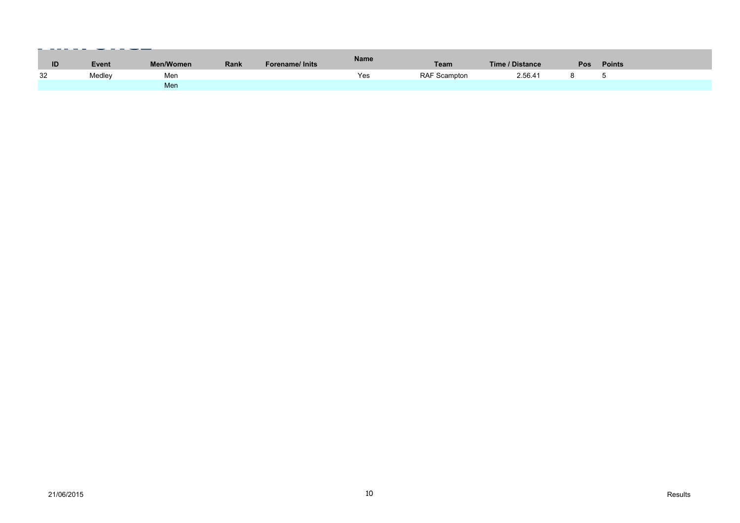| ID | Event  | Men/Women | <b>Rank</b> | <b>Forename/Inits</b> | Name | <b>Team</b>  | Time / Distance | <b>Pos</b> | <b>Points</b> |
|----|--------|-----------|-------------|-----------------------|------|--------------|-----------------|------------|---------------|
| 32 | Medley | Men       |             |                       | Yes  | RAF Scampton | 2.56.41         |            |               |
|    |        | Men       |             |                       |      |              |                 |            |               |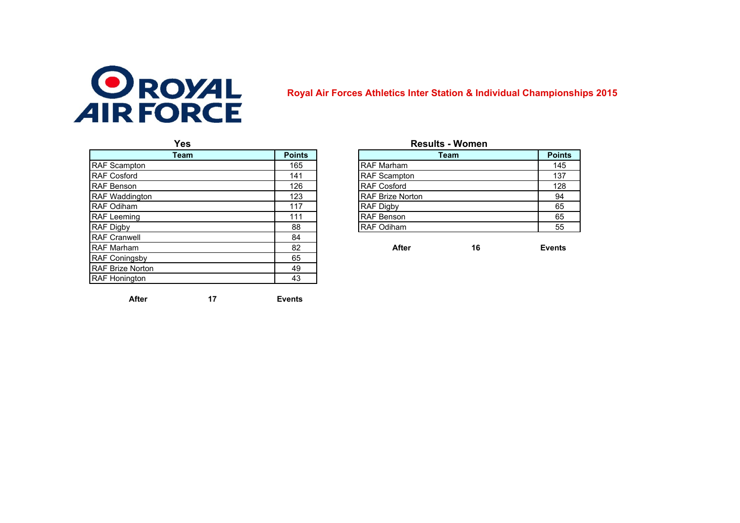

## **Royal Air Forces Athletics Inter Station & Individual Championships 2015**

| <b>Points</b> |                         |    | Point                                 |
|---------------|-------------------------|----|---------------------------------------|
| 165           | <b>RAF Marham</b>       |    | 145                                   |
| 141           | <b>RAF Scampton</b>     |    | 137                                   |
| 126           | <b>RAF Cosford</b>      |    | 128                                   |
| 123           | <b>RAF Brize Norton</b> |    | 94                                    |
| 117           | <b>RAF Digby</b>        |    | 65                                    |
| 111           | <b>RAF Benson</b>       |    | 65                                    |
| 88            | <b>RAF Odiham</b>       |    | 55                                    |
| 84            |                         |    |                                       |
| 82            | After                   | 16 | <b>Events</b>                         |
| 65            |                         |    |                                       |
| 49            |                         |    |                                       |
| 43            |                         |    |                                       |
|               |                         |    | <b>Results - Women</b><br><b>Team</b> |

**17**

## **Yes Results - Women**

| <b>Points</b> | Team                    | <b>Points</b> |
|---------------|-------------------------|---------------|
| 165           | <b>RAF Marham</b>       | 145           |
| 141           | <b>RAF Scampton</b>     | 137           |
| 126           | RAF Cosford             | 128           |
| 123           | <b>RAF Brize Norton</b> | 94            |
| 117           | <b>RAF Digby</b>        | 65            |
| 111           | <b>RAF Benson</b>       | 65            |
| 88            | <b>RAF Odiham</b>       | 55            |
| 84            |                         |               |

**After Events**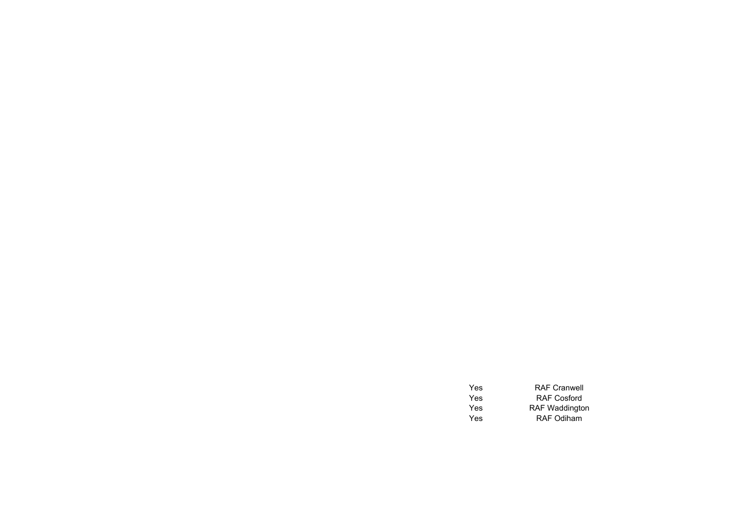| <b>Yes</b> | <b>RAF Cranwell</b>   |
|------------|-----------------------|
| Yes        | <b>RAF Cosford</b>    |
| Yes        | <b>RAF Waddington</b> |
| <b>Yes</b> | <b>RAF Odiham</b>     |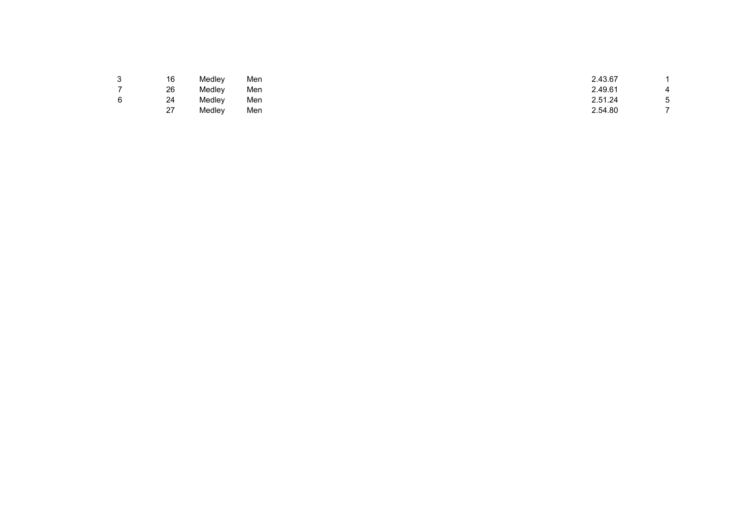| հ<br>J                   | 16             | Medley | Men | 2.43.67 |        |
|--------------------------|----------------|--------|-----|---------|--------|
| $\overline{\phantom{a}}$ | 26             | Medley | Men | 2.49.61 | 4      |
| 6                        | 24             | Medley | Men | 2.51.24 | h<br>◡ |
|                          | 07<br>$\angle$ | Medley | Men | 2.54.80 |        |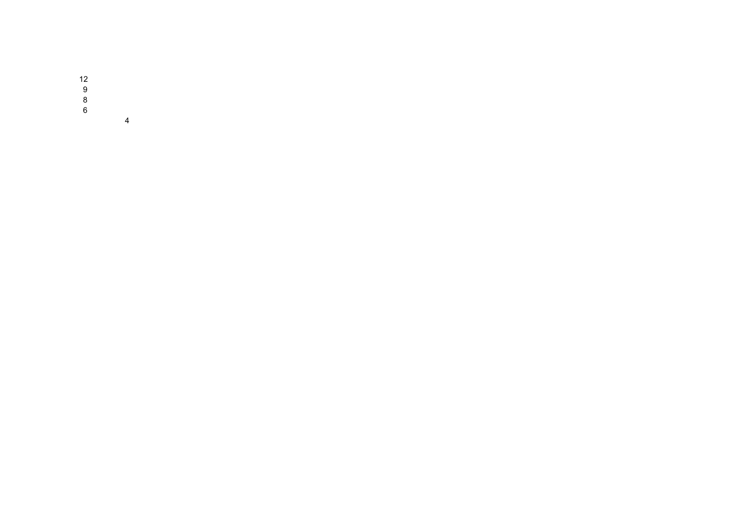$\begin{array}{c} 12 \\ 9 \\ 8 \\ 6 \end{array}$ 

 $\overline{4}$